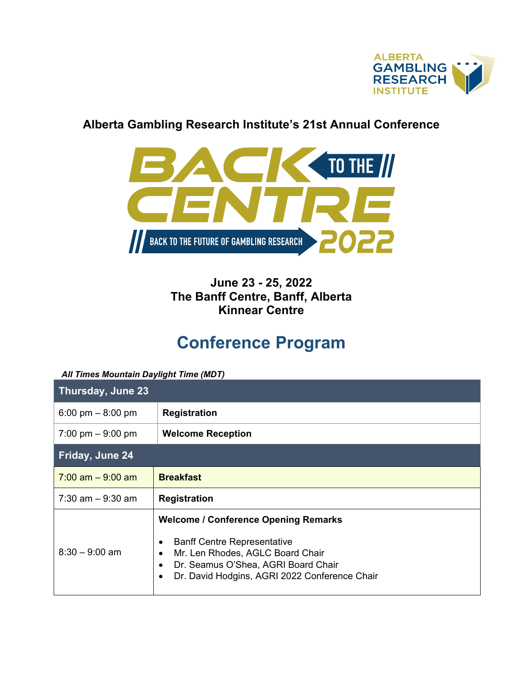

## **Alberta Gambling Research Institute's 21st Annual Conference**



**June 23 - 25, 2022 The Banff Centre, Banff, Alberta Kinnear Centre**

## **Conference Program**

## *All Times Mountain Daylight Time (MDT)*

| Thursday, June 23    |                                                                                                                                                                                                                                                                   |
|----------------------|-------------------------------------------------------------------------------------------------------------------------------------------------------------------------------------------------------------------------------------------------------------------|
| 6:00 pm $-$ 8:00 pm  | <b>Registration</b>                                                                                                                                                                                                                                               |
| 7:00 pm $-9:00$ pm   | <b>Welcome Reception</b>                                                                                                                                                                                                                                          |
| Friday, June 24      |                                                                                                                                                                                                                                                                   |
| $7:00$ am $-9:00$ am | <b>Breakfast</b>                                                                                                                                                                                                                                                  |
| $7:30$ am $-9:30$ am | <b>Registration</b>                                                                                                                                                                                                                                               |
| $8:30 - 9:00$ am     | <b>Welcome / Conference Opening Remarks</b><br><b>Banff Centre Representative</b><br>$\bullet$<br>Mr. Len Rhodes, AGLC Board Chair<br>$\bullet$<br>Dr. Seamus O'Shea, AGRI Board Chair<br>$\bullet$<br>Dr. David Hodgins, AGRI 2022 Conference Chair<br>$\bullet$ |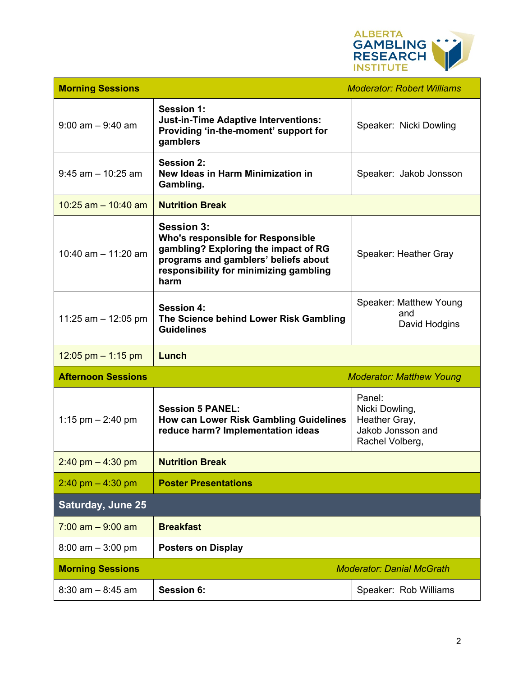

| <b>Morning Sessions</b>   |                                                                                                                                                                                                 | <b>Moderator: Robert Williams</b>                                                 |
|---------------------------|-------------------------------------------------------------------------------------------------------------------------------------------------------------------------------------------------|-----------------------------------------------------------------------------------|
| $9:00$ am $-9:40$ am      | <b>Session 1:</b><br><b>Just-in-Time Adaptive Interventions:</b><br>Providing 'in-the-moment' support for<br>gamblers                                                                           | Speaker: Nicki Dowling                                                            |
| $9:45$ am $-10:25$ am     | <b>Session 2:</b><br>New Ideas in Harm Minimization in<br>Gambling.                                                                                                                             | Speaker: Jakob Jonsson                                                            |
| 10:25 am $-$ 10:40 am     | <b>Nutrition Break</b>                                                                                                                                                                          |                                                                                   |
| 10:40 am $-$ 11:20 am     | <b>Session 3:</b><br><b>Who's responsible for Responsible</b><br>gambling? Exploring the impact of RG<br>programs and gamblers' beliefs about<br>responsibility for minimizing gambling<br>harm | Speaker: Heather Gray                                                             |
| 11:25 am $-$ 12:05 pm     | <b>Session 4:</b><br>The Science behind Lower Risk Gambling<br><b>Guidelines</b>                                                                                                                | Speaker: Matthew Young<br>and<br>David Hodgins                                    |
| 12:05 pm $-$ 1:15 pm      | Lunch                                                                                                                                                                                           |                                                                                   |
| <b>Afternoon Sessions</b> |                                                                                                                                                                                                 | <b>Moderator: Matthew Young</b>                                                   |
| 1:15 pm $- 2:40$ pm       | <b>Session 5 PANEL:</b><br><b>How can Lower Risk Gambling Guidelines</b><br>reduce harm? Implementation ideas                                                                                   | Panel:<br>Nicki Dowling,<br>Heather Gray,<br>Jakob Jonsson and<br>Rachel Volberg, |
| $2:40$ pm $-4:30$ pm      | <b>Nutrition Break</b>                                                                                                                                                                          |                                                                                   |
| $2:40$ pm $-4:30$ pm      | <b>Poster Presentations</b>                                                                                                                                                                     |                                                                                   |
| <b>Saturday, June 25</b>  |                                                                                                                                                                                                 |                                                                                   |
| $7:00$ am $-9:00$ am      | <b>Breakfast</b>                                                                                                                                                                                |                                                                                   |
| $8:00$ am $-3:00$ pm      | <b>Posters on Display</b>                                                                                                                                                                       |                                                                                   |
| <b>Morning Sessions</b>   |                                                                                                                                                                                                 | <b>Moderator: Danial McGrath</b>                                                  |
| $8:30$ am $-8:45$ am      | <b>Session 6:</b>                                                                                                                                                                               | Speaker: Rob Williams                                                             |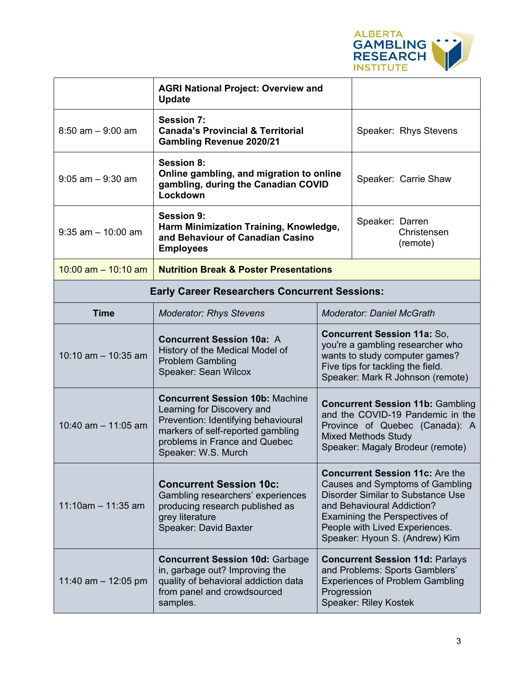

|                                                                            | <b>AGRI National Project: Overview and</b><br><b>Update</b>                                                                                                                                              |                                                                                                                                                                                                                                                                 |                                            |  |  |
|----------------------------------------------------------------------------|----------------------------------------------------------------------------------------------------------------------------------------------------------------------------------------------------------|-----------------------------------------------------------------------------------------------------------------------------------------------------------------------------------------------------------------------------------------------------------------|--------------------------------------------|--|--|
| $8:50$ am $-9:00$ am                                                       | Session 7:<br><b>Canada's Provincial &amp; Territorial</b><br><b>Gambling Revenue 2020/21</b>                                                                                                            |                                                                                                                                                                                                                                                                 | Speaker: Rhys Stevens                      |  |  |
| $9:05$ am $-9:30$ am                                                       | Session 8:<br>Online gambling, and migration to online<br>gambling, during the Canadian COVID<br>Lockdown                                                                                                |                                                                                                                                                                                                                                                                 | Speaker: Carrie Shaw                       |  |  |
| $9:35$ am $-10:00$ am                                                      | <b>Session 9:</b><br>Harm Minimization Training, Knowledge,<br>and Behaviour of Canadian Casino<br><b>Employees</b>                                                                                      |                                                                                                                                                                                                                                                                 | Speaker: Darren<br>Christensen<br>(remote) |  |  |
| 10:00 am $-$ 10:10 am<br><b>Nutrition Break &amp; Poster Presentations</b> |                                                                                                                                                                                                          |                                                                                                                                                                                                                                                                 |                                            |  |  |
| <b>Early Career Researchers Concurrent Sessions:</b>                       |                                                                                                                                                                                                          |                                                                                                                                                                                                                                                                 |                                            |  |  |
| <b>Time</b>                                                                | <b>Moderator: Rhys Stevens</b>                                                                                                                                                                           | <b>Moderator: Daniel McGrath</b>                                                                                                                                                                                                                                |                                            |  |  |
| $10:10$ am $- 10:35$ am                                                    | <b>Concurrent Session 10a: A</b><br>History of the Medical Model of<br><b>Problem Gambling</b><br>Speaker: Sean Wilcox                                                                                   | <b>Concurrent Session 11a: So,</b><br>you're a gambling researcher who<br>wants to study computer games?<br>Five tips for tackling the field.<br>Speaker: Mark R Johnson (remote)                                                                               |                                            |  |  |
| 10:40 am $-$ 11:05 am                                                      | <b>Concurrent Session 10b: Machine</b><br>Learning for Discovery and<br>Prevention: Identifying behavioural<br>markers of self-reported gambling<br>problems in France and Quebec<br>Speaker: W.S. Murch | <b>Concurrent Session 11b: Gambling</b><br>and the COVID-19 Pandemic in the<br>Province of Quebec (Canada): A<br><b>Mixed Methods Study</b><br>Speaker: Magaly Brodeur (remote)                                                                                 |                                            |  |  |
| $11:10$ am - 11:35 am                                                      | <b>Concurrent Session 10c:</b><br>Gambling researchers' experiences<br>producing research published as<br>grey literature<br>Speaker: David Baxter                                                       | <b>Concurrent Session 11c: Are the</b><br><b>Causes and Symptoms of Gambling</b><br><b>Disorder Similar to Substance Use</b><br>and Behavioural Addiction?<br>Examining the Perspectives of<br>People with Lived Experiences.<br>Speaker: Hyoun S. (Andrew) Kim |                                            |  |  |
| 11:40 am $-$ 12:05 pm                                                      | <b>Concurrent Session 10d: Garbage</b><br>in, garbage out? Improving the<br>quality of behavioral addiction data<br>from panel and crowdsourced<br>samples.                                              | <b>Concurrent Session 11d: Parlays</b><br>and Problems: Sports Gamblers'<br><b>Experiences of Problem Gambling</b><br>Progression<br><b>Speaker: Riley Kostek</b>                                                                                               |                                            |  |  |